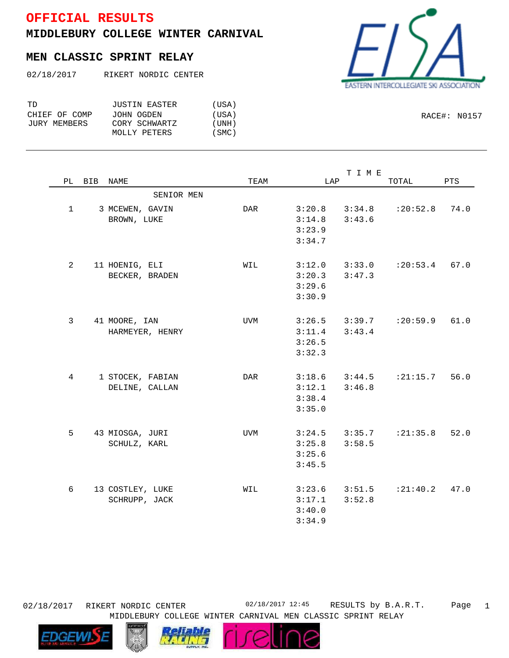## **OFFICIAL RESULTS**

**MIDDLEBURY COLLEGE WINTER CARNIVAL**

## **MEN CLASSIC SPRINT RELAY**

02/18/2017 RIKERT NORDIC CENTER

| TD.           | <b>JUSTIN EASTER</b> | (USA) |
|---------------|----------------------|-------|
| CHIEF OF COMP | JOHN OGDEN           | (USA) |
| JURY MEMBERS  | CORY SCHWARTZ        | (UNH) |
|               | MOLLY PETERS         | (SMC) |

SENIOR MEN 1 3 MCEWEN, GAVIN DAR 3:20.8 3:34.8 :20:52.8 74.0 BROWN, LUKE 3:14.8 3:43.6 3:23.9 3:34.7 2 11 HOENIG, ELI WIL :20:53.4 67.0 3:12.0 3:33.0 BECKER, BRADEN 3:20.3 3:47.3 3:29.6 3:30.9 3 41 MOORE, IAN UVM :20:59.9 61.0 3:26.5 3:39.7 HARMEYER, HENRY 3:11.4 3:43.4 3:26.5 3:32.3 4 1 STOCEK, FABIAN DAR :21:15.7 56.0 3:18.6 3:44.5 DELINE, CALLAN 3:12.1 3:46.8 3:38.4 3:35.0 5 43 MIOSGA, JURI UVM :21:35.8 52.0 3:24.5 3:35.7 SCHULZ, KARL 3:25.8 3:58.5 3:25.6 3:45.5 6 13 COSTLEY, LUKE WIL 3:23.6 3:51.5 :21:40.2 47.0 SCHRUPP, JACK 3:17.1 3:40.0 3:34.9 3:52.8

PL BIB NAME TEAM LAP TOTAL PTS



02/18/2017 RIKERT NORDIC CENTER 02/18/2017 12:45 RESULTS by B.A.R.T.

MIDDLEBURY COLLEGE WINTER CARNIVAL MEN CLASSIC SPRINT RELAY





T I M E

RACE#: N0157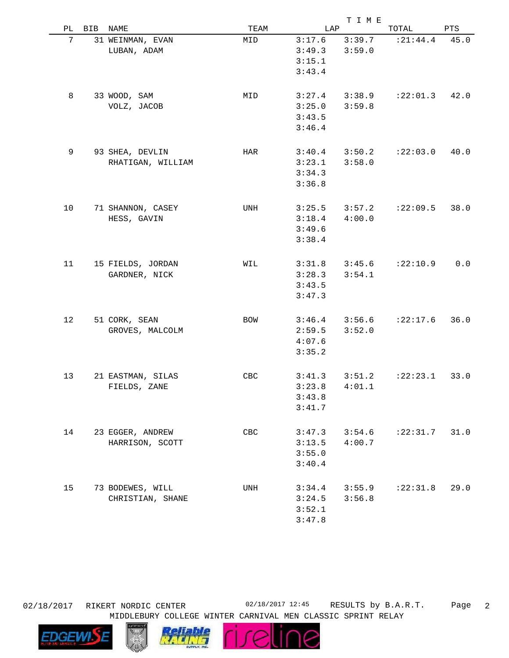|    |            |                   |      |        | TIME   |            |      |
|----|------------|-------------------|------|--------|--------|------------|------|
| РL | <b>BIB</b> | NAME              | TEAM | LAP    |        | TOTAL      | PTS  |
| 7  |            | 31 WEINMAN, EVAN  | MID  | 3:17.6 | 3:39.7 | : 21:44.4  | 45.0 |
|    |            | LUBAN, ADAM       |      | 3:49.3 | 3:59.0 |            |      |
|    |            |                   |      | 3:15.1 |        |            |      |
|    |            |                   |      | 3:43.4 |        |            |      |
|    |            |                   |      |        |        |            |      |
| 8  |            |                   |      |        |        | :22:01.3   | 42.0 |
|    |            | 33 WOOD, SAM      | MID  | 3:27.4 | 3:38.9 |            |      |
|    |            | VOLZ, JACOB       |      | 3:25.0 | 3:59.8 |            |      |
|    |            |                   |      | 3:43.5 |        |            |      |
|    |            |                   |      | 3:46.4 |        |            |      |
|    |            |                   |      |        |        |            |      |
| 9  |            | 93 SHEA, DEVLIN   | HAR  | 3:40.4 | 3:50.2 | :22:03.0   | 40.0 |
|    |            | RHATIGAN, WILLIAM |      | 3:23.1 | 3:58.0 |            |      |
|    |            |                   |      | 3:34.3 |        |            |      |
|    |            |                   |      | 3:36.8 |        |            |      |
|    |            |                   |      |        |        |            |      |
| 10 |            | 71 SHANNON, CASEY | UNH  | 3:25.5 | 3:57.2 | :22:09.5   | 38.0 |
|    |            | HESS, GAVIN       |      | 3:18.4 | 4:00.0 |            |      |
|    |            |                   |      | 3:49.6 |        |            |      |
|    |            |                   |      | 3:38.4 |        |            |      |
|    |            |                   |      |        |        |            |      |
| 11 |            | 15 FIELDS, JORDAN | WIL  | 3:31.8 | 3:45.6 | :22:10.9   | 0.0  |
|    |            | GARDNER, NICK     |      | 3:28.3 | 3:54.1 |            |      |
|    |            |                   |      | 3:43.5 |        |            |      |
|    |            |                   |      | 3:47.3 |        |            |      |
|    |            |                   |      |        |        |            |      |
| 12 |            |                   |      |        |        | :22:17.6   | 36.0 |
|    |            | 51 CORK, SEAN     | BOW  | 3:46.4 | 3:56.6 |            |      |
|    |            | GROVES, MALCOLM   |      | 2:59.5 | 3:52.0 |            |      |
|    |            |                   |      | 4:07.6 |        |            |      |
|    |            |                   |      | 3:35.2 |        |            |      |
|    |            |                   |      |        |        |            |      |
| 13 |            | 21 EASTMAN, SILAS | CBC  | 3:41.3 | 3:51.2 | : 22: 23.1 | 33.0 |
|    |            | FIELDS, ZANE      |      | 3:23.8 | 4:01.1 |            |      |
|    |            |                   |      | 3:43.8 |        |            |      |
|    |            |                   |      | 3:41.7 |        |            |      |
|    |            |                   |      |        |        |            |      |
| 14 |            | 23 EGGER, ANDREW  | CBC  | 3:47.3 | 3:54.6 | :22:31.7   | 31.0 |
|    |            | HARRISON, SCOTT   |      | 3:13.5 | 4:00.7 |            |      |
|    |            |                   |      | 3:55.0 |        |            |      |
|    |            |                   |      | 3:40.4 |        |            |      |
|    |            |                   |      |        |        |            |      |
| 15 |            | 73 BODEWES, WILL  | UNH  | 3:34.4 | 3:55.9 | :22:31.8   | 29.0 |
|    |            | CHRISTIAN, SHANE  |      | 3:24.5 | 3:56.8 |            |      |
|    |            |                   |      | 3:52.1 |        |            |      |
|    |            |                   |      | 3:47.8 |        |            |      |
|    |            |                   |      |        |        |            |      |

02/18/2017 RIKERT NORDIC CENTER 02/18/2017 12:45 RESULTS by B.A.R.T.

16

**Tellf** 

MIDDLEBURY COLLEGE WINTER CARNIVAL MEN CLASSIC SPRINT RELAY

Page 2



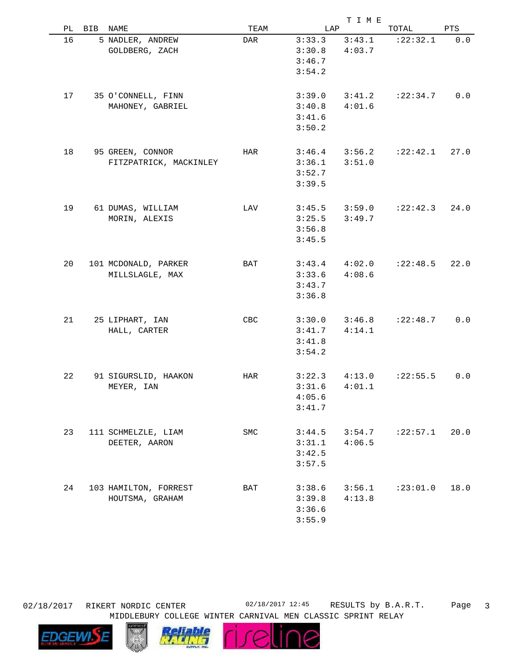|    |                        |      |        | T I M E |                     |      |
|----|------------------------|------|--------|---------|---------------------|------|
| PL | BIB NAME               | TEAM | LAP    |         | TOTAL               | PTS  |
| 16 | 5 NADLER, ANDREW       | DAR  | 3:33.3 | 3:43.1  | : 22: 32.1          | 0.0  |
|    | GOLDBERG, ZACH         |      | 3:30.8 | 4:03.7  |                     |      |
|    |                        |      | 3:46.7 |         |                     |      |
|    |                        |      | 3:54.2 |         |                     |      |
|    |                        |      |        |         |                     |      |
| 17 | 35 O'CONNELL, FINN     |      | 3:39.0 | 3:41.2  | : 22: 34.7          | 0.0  |
|    | MAHONEY, GABRIEL       |      | 3:40.8 | 4:01.6  |                     |      |
|    |                        |      | 3:41.6 |         |                     |      |
|    |                        |      | 3:50.2 |         |                     |      |
|    |                        |      |        |         |                     |      |
| 18 | 95 GREEN, CONNOR       | HAR  | 3:46.4 |         | $3:56.2$ $:22:42.1$ | 27.0 |
|    | FITZPATRICK, MACKINLEY |      | 3:36.1 | 3:51.0  |                     |      |
|    |                        |      | 3:52.7 |         |                     |      |
|    |                        |      | 3:39.5 |         |                     |      |
|    |                        |      |        |         |                     |      |
| 19 | 61 DUMAS, WILLIAM      | LAV  | 3:45.5 | 3:59.0  | :22:42.3            | 24.0 |
|    | MORIN, ALEXIS          |      | 3:25.5 | 3:49.7  |                     |      |
|    |                        |      | 3:56.8 |         |                     |      |
|    |                        |      | 3:45.5 |         |                     |      |
|    |                        |      |        |         |                     |      |
| 20 | 101 MCDONALD, PARKER   | BAT  | 3:43.4 | 4:02.0  | : 22: 48.5          | 22.0 |
|    | MILLSLAGLE, MAX        |      | 3:33.6 | 4:08.6  |                     |      |
|    |                        |      | 3:43.7 |         |                     |      |
|    |                        |      | 3:36.8 |         |                     |      |
|    |                        |      |        |         |                     |      |
| 21 | 25 LIPHART, IAN        | CBC  | 3:30.0 | 3:46.8  | :22:48.7            | 0.0  |
|    | HALL, CARTER           |      | 3:41.7 | 4:14.1  |                     |      |
|    |                        |      | 3:41.8 |         |                     |      |
|    |                        |      | 3:54.2 |         |                     |      |
|    |                        |      |        |         |                     |      |
| 22 | 91 SIGURSLID, HAAKON   | HAR  | 3:22.3 | 4:13.0  | : 22: 55.5          | 0.0  |
|    | MEYER, IAN             |      | 3:31.6 | 4:01.1  |                     |      |
|    |                        |      | 4:05.6 |         |                     |      |
|    |                        |      | 3:41.7 |         |                     |      |
|    |                        |      |        |         |                     |      |
| 23 | 111 SCHMELZLE, LIAM    | SMC  | 3:44.5 | 3:54.7  | : 22: 57.1          | 20.0 |
|    | DEETER, AARON          |      | 3:31.1 | 4:06.5  |                     |      |
|    |                        |      | 3:42.5 |         |                     |      |
|    |                        |      | 3:57.5 |         |                     |      |
|    |                        |      |        |         |                     |      |
| 24 | 103 HAMILTON, FORREST  | BAT  | 3:38.6 | 3:56.1  | :23:01.0            | 18.0 |
|    | HOUTSMA, GRAHAM        |      | 3:39.8 | 4:13.8  |                     |      |
|    |                        |      | 3:36.6 |         |                     |      |
|    |                        |      | 3:55.9 |         |                     |      |
|    |                        |      |        |         |                     |      |

MIDDLEBURY COLLEGE WINTER CARNIVAL MEN CLASSIC SPRINT RELAY 02/18/2017 RIKERT NORDIC CENTER 02/18/2017 12:45 RESULTS by B.A.R.T.